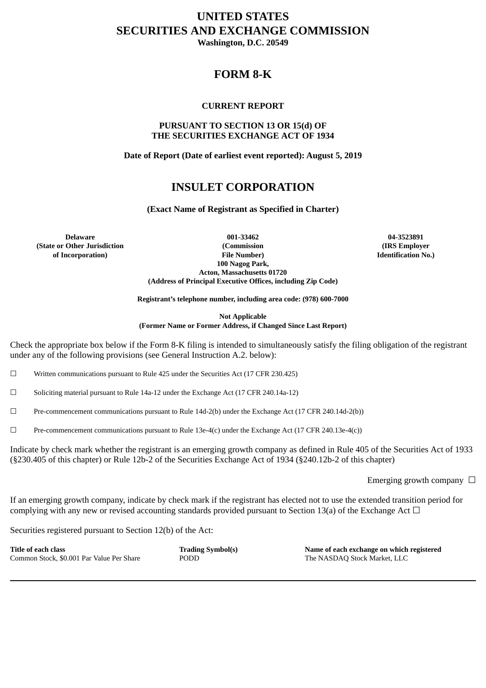# **UNITED STATES SECURITIES AND EXCHANGE COMMISSION**

**Washington, D.C. 20549**

## **FORM 8-K**

#### **CURRENT REPORT**

#### **PURSUANT TO SECTION 13 OR 15(d) OF THE SECURITIES EXCHANGE ACT OF 1934**

**Date of Report (Date of earliest event reported): August 5, 2019**

## **INSULET CORPORATION**

**(Exact Name of Registrant as Specified in Charter)**

**(State or Other Jurisdiction of Incorporation)**

**Delaware 001-33462 04-3523891 (Commission File Number) 100 Nagog Park, Acton, Massachusetts 01720 (Address of Principal Executive Offices, including Zip Code)**

**(IRS Employer Identification No.)**

**Registrant's telephone number, including area code: (978) 600-7000**

**Not Applicable (Former Name or Former Address, if Changed Since Last Report)**

Check the appropriate box below if the Form 8-K filing is intended to simultaneously satisfy the filing obligation of the registrant under any of the following provisions (see General Instruction A.2. below):

 $\Box$  Written communications pursuant to Rule 425 under the Securities Act (17 CFR 230.425)

 $\Box$  Soliciting material pursuant to Rule 14a-12 under the Exchange Act (17 CFR 240.14a-12)

☐ Pre-commencement communications pursuant to Rule 14d-2(b) under the Exchange Act (17 CFR 240.14d-2(b))

 $\Box$  Pre-commencement communications pursuant to Rule 13e-4(c) under the Exchange Act (17 CFR 240.13e-4(c))

Indicate by check mark whether the registrant is an emerging growth company as defined in Rule 405 of the Securities Act of 1933 (§230.405 of this chapter) or Rule 12b-2 of the Securities Exchange Act of 1934 (§240.12b-2 of this chapter)

Emerging growth company  $\Box$ 

If an emerging growth company, indicate by check mark if the registrant has elected not to use the extended transition period for complying with any new or revised accounting standards provided pursuant to Section 13(a) of the Exchange Act  $\Box$ 

Securities registered pursuant to Section 12(b) of the Act:

| Title of each class                       | <b>Trading Symbol</b> |
|-------------------------------------------|-----------------------|
| Common Stock, \$0.001 Par Value Per Share | <b>PODD</b>           |

**Title of each class Trading Symbol(s) Name of each exchange on which registered** The NASDAQ Stock Market, LLC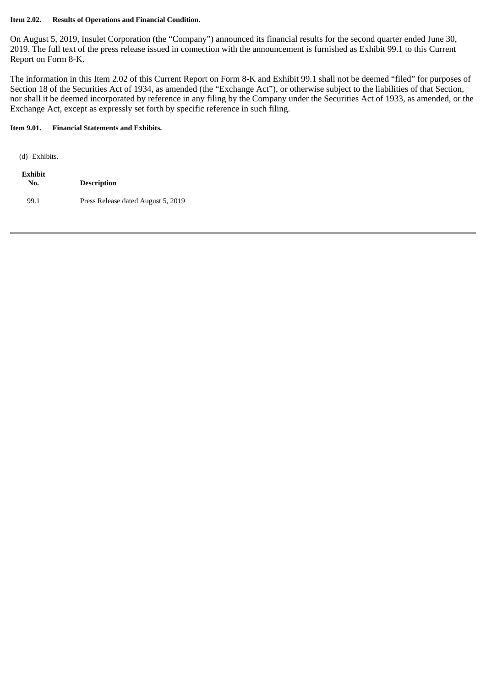#### **Item 2.02. Results of Operations and Financial Condition.**

On August 5, 2019, Insulet Corporation (the "Company") announced its financial results for the second quarter ended June 30, 2019. The full text of the press release issued in connection with the announcement is furnished as Exhibit 99.1 to this Current Report on Form 8-K.

The information in this Item 2.02 of this Current Report on Form 8-K and Exhibit 99.1 shall not be deemed "filed" for purposes of Section 18 of the Securities Act of 1934, as amended (the "Exchange Act"), or otherwise subject to the liabilities of that Section, nor shall it be deemed incorporated by reference in any filing by the Company under the Securities Act of 1933, as amended, or the Exchange Act, except as expressly set forth by specific reference in such filing.

### **Item 9.01. Financial Statements and Exhibits.**

| (d) Exhibits.  |                                    |
|----------------|------------------------------------|
| Exhibit<br>No. | <b>Description</b>                 |
| 99.1           | Press Release dated August 5, 2019 |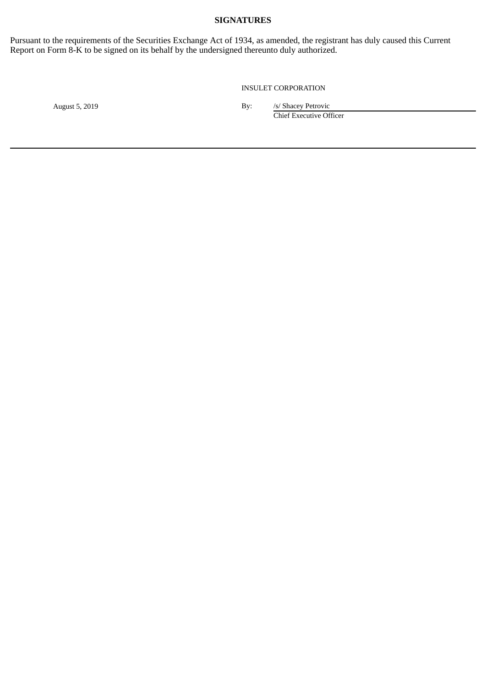#### **SIGNATURES**

Pursuant to the requirements of the Securities Exchange Act of 1934, as amended, the registrant has duly caused this Current Report on Form 8-K to be signed on its behalf by the undersigned thereunto duly authorized.

INSULET CORPORATION

August 5, 2019 By: */s/ Shacey Petrovic* 

Chief Executive Officer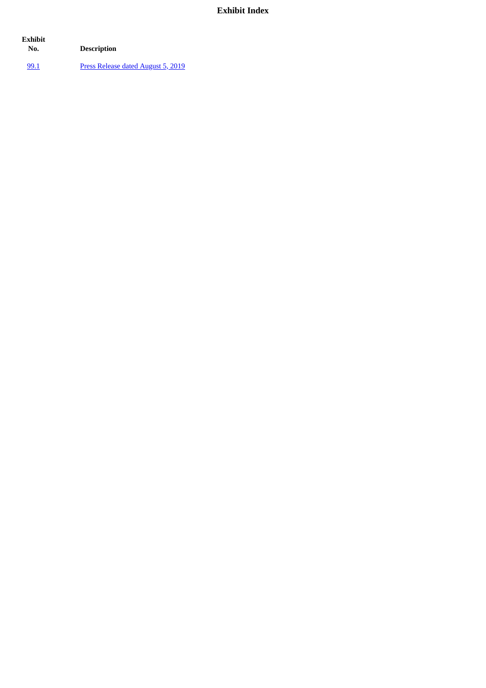## **Exhibit Index**

| Exhibit<br>No. | <b>Description</b>                 |
|----------------|------------------------------------|
| 99.1           | Press Release dated August 5, 2019 |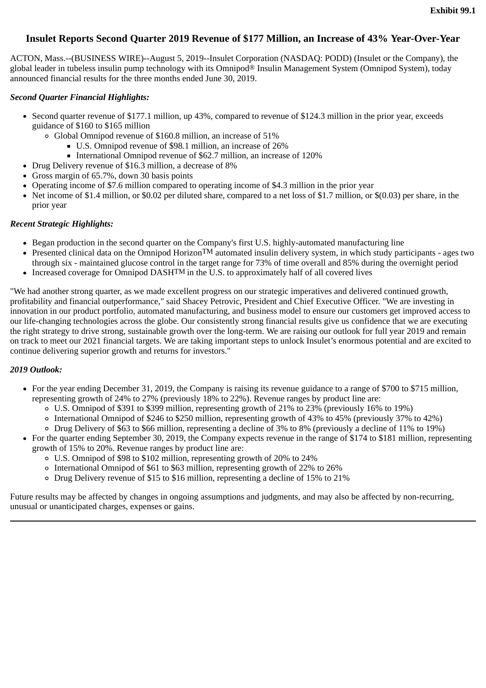### <span id="page-4-0"></span>**Insulet Reports Second Quarter 2019 Revenue of \$177 Million, an Increase of 43% Year-Over-Year**

ACTON, Mass.--(BUSINESS WIRE)--August 5, 2019--Insulet Corporation (NASDAQ: PODD) (Insulet or the Company), the global leader in tubeless insulin pump technology with its Omnipod® Insulin Management System (Omnipod System), today announced financial results for the three months ended June 30, 2019.

#### *Second Quarter Financial Highlights:*

- Second quarter revenue of \$177.1 million, up 43%, compared to revenue of \$124.3 million in the prior year, exceeds guidance of \$160 to \$165 million
	- Global Omnipod revenue of \$160.8 million, an increase of 51%
		- U.S. Omnipod revenue of \$98.1 million, an increase of 26%
		- International Omnipod revenue of \$62.7 million, an increase of 120%
- Drug Delivery revenue of \$16.3 million, a decrease of 8%
- Gross margin of 65.7%, down 30 basis points
- Operating income of \$7.6 million compared to operating income of \$4.3 million in the prior year
- Net income of \$1.4 million, or \$0.02 per diluted share, compared to a net loss of \$1.7 million, or \$(0.03) per share, in the prior year

#### *Recent Strategic Highlights:*

- Began production in the second quarter on the Company's first U.S. highly-automated manufacturing line
- Presented clinical data on the Omnipod Horizon<sup>TM</sup> automated insulin delivery system, in which study participants ages two through six - maintained glucose control in the target range for 73% of time overall and 85% during the overnight period
- $\bullet$  Increased coverage for Omnipod DASHTM in the U.S. to approximately half of all covered lives

"We had another strong quarter, as we made excellent progress on our strategic imperatives and delivered continued growth, profitability and financial outperformance," said Shacey Petrovic, President and Chief Executive Officer. "We are investing in innovation in our product portfolio, automated manufacturing, and business model to ensure our customers get improved access to our life-changing technologies across the globe. Our consistently strong financial results give us confidence that we are executing the right strategy to drive strong, sustainable growth over the long-term. We are raising our outlook for full year 2019 and remain on track to meet our 2021 financial targets. We are taking important steps to unlock Insulet's enormous potential and are excited to continue delivering superior growth and returns for investors."

#### *2019 Outlook:*

- For the year ending December 31, 2019, the Company is raising its revenue guidance to a range of \$700 to \$715 million, representing growth of 24% to 27% (previously 18% to 22%). Revenue ranges by product line are:
	- U.S. Omnipod of \$391 to \$399 million, representing growth of 21% to 23% (previously 16% to 19%)
	- International Omnipod of \$246 to \$250 million, representing growth of 43% to 45% (previously 37% to 42%)
	- Drug Delivery of \$63 to \$66 million, representing a decline of 3% to 8% (previously a decline of 11% to 19%)
- For the quarter ending September 30, 2019, the Company expects revenue in the range of \$174 to \$181 million, representing growth of 15% to 20%. Revenue ranges by product line are:
	- U.S. Omnipod of \$98 to \$102 million, representing growth of 20% to 24%
	- International Omnipod of \$61 to \$63 million, representing growth of 22% to 26%
	- Drug Delivery revenue of \$15 to \$16 million, representing a decline of 15% to 21%

Future results may be affected by changes in ongoing assumptions and judgments, and may also be affected by non-recurring, unusual or unanticipated charges, expenses or gains.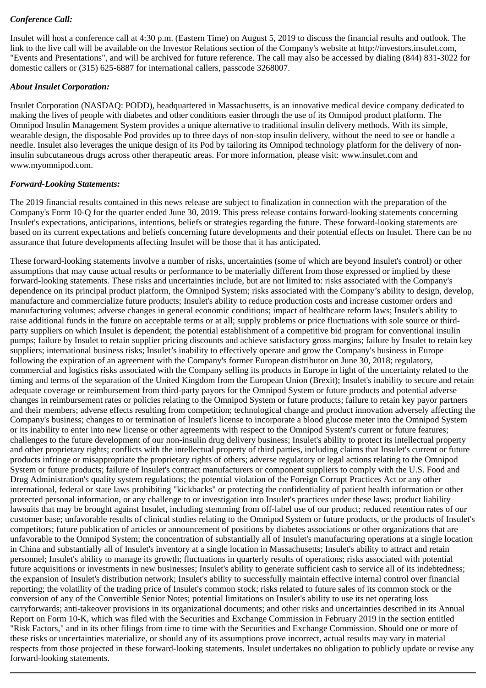## *Conference Call:*

Insulet will host a conference call at 4:30 p.m. (Eastern Time) on August 5, 2019 to discuss the financial results and outlook. The link to the live call will be available on the Investor Relations section of the Company's website at http://investors.insulet.com, "Events and Presentations", and will be archived for future reference. The call may also be accessed by dialing (844) 831-3022 for domestic callers or (315) 625-6887 for international callers, passcode 3268007.

#### *About Insulet Corporation:*

Insulet Corporation (NASDAQ: PODD), headquartered in Massachusetts, is an innovative medical device company dedicated to making the lives of people with diabetes and other conditions easier through the use of its Omnipod product platform. The Omnipod Insulin Management System provides a unique alternative to traditional insulin delivery methods. With its simple, wearable design, the disposable Pod provides up to three days of non-stop insulin delivery, without the need to see or handle a needle. Insulet also leverages the unique design of its Pod by tailoring its Omnipod technology platform for the delivery of noninsulin subcutaneous drugs across other therapeutic areas. For more information, please visit: www.insulet.com and www.myomnipod.com.

#### *Forward-Looking Statements:*

The 2019 financial results contained in this news release are subject to finalization in connection with the preparation of the Company's Form 10-Q for the quarter ended June 30, 2019. This press release contains forward-looking statements concerning Insulet's expectations, anticipations, intentions, beliefs or strategies regarding the future. These forward-looking statements are based on its current expectations and beliefs concerning future developments and their potential effects on Insulet. There can be no assurance that future developments affecting Insulet will be those that it has anticipated.

These forward-looking statements involve a number of risks, uncertainties (some of which are beyond Insulet's control) or other assumptions that may cause actual results or performance to be materially different from those expressed or implied by these forward-looking statements. These risks and uncertainties include, but are not limited to: risks associated with the Company's dependence on its principal product platform, the Omnipod System; risks associated with the Company's ability to design, develop, manufacture and commercialize future products; Insulet's ability to reduce production costs and increase customer orders and manufacturing volumes; adverse changes in general economic conditions; impact of healthcare reform laws; Insulet's ability to raise additional funds in the future on acceptable terms or at all; supply problems or price fluctuations with sole source or thirdparty suppliers on which Insulet is dependent; the potential establishment of a competitive bid program for conventional insulin pumps; failure by Insulet to retain supplier pricing discounts and achieve satisfactory gross margins; failure by Insulet to retain key suppliers; international business risks; Insulet's inability to effectively operate and grow the Company's business in Europe following the expiration of an agreement with the Company's former European distributor on June 30, 2018; regulatory, commercial and logistics risks associated with the Company selling its products in Europe in light of the uncertainty related to the timing and terms of the separation of the United Kingdom from the European Union (Brexit); Insulet's inability to secure and retain adequate coverage or reimbursement from third-party payors for the Omnipod System or future products and potential adverse changes in reimbursement rates or policies relating to the Omnipod System or future products; failure to retain key payor partners and their members; adverse effects resulting from competition; technological change and product innovation adversely affecting the Company's business; changes to or termination of Insulet's license to incorporate a blood glucose meter into the Omnipod System or its inability to enter into new license or other agreements with respect to the Omnipod System's current or future features; challenges to the future development of our non-insulin drug delivery business; Insulet's ability to protect its intellectual property and other proprietary rights; conflicts with the intellectual property of third parties, including claims that Insulet's current or future products infringe or misappropriate the proprietary rights of others; adverse regulatory or legal actions relating to the Omnipod System or future products; failure of Insulet's contract manufacturers or component suppliers to comply with the U.S. Food and Drug Administration's quality system regulations; the potential violation of the Foreign Corrupt Practices Act or any other international, federal or state laws prohibiting "kickbacks" or protecting the confidentiality of patient health information or other protected personal information, or any challenge to or investigation into Insulet's practices under these laws; product liability lawsuits that may be brought against Insulet, including stemming from off-label use of our product; reduced retention rates of our customer base; unfavorable results of clinical studies relating to the Omnipod System or future products, or the products of Insulet's competitors; future publication of articles or announcement of positions by diabetes associations or other organizations that are unfavorable to the Omnipod System; the concentration of substantially all of Insulet's manufacturing operations at a single location in China and substantially all of Insulet's inventory at a single location in Massachusetts; Insulet's ability to attract and retain personnel; Insulet's ability to manage its growth; fluctuations in quarterly results of operations; risks associated with potential future acquisitions or investments in new businesses; Insulet's ability to generate sufficient cash to service all of its indebtedness; the expansion of Insulet's distribution network; Insulet's ability to successfully maintain effective internal control over financial reporting; the volatility of the trading price of Insulet's common stock; risks related to future sales of its common stock or the conversion of any of the Convertible Senior Notes; potential limitations on Insulet's ability to use its net operating loss carryforwards; anti-takeover provisions in its organizational documents; and other risks and uncertainties described in its Annual Report on Form 10-K, which was filed with the Securities and Exchange Commission in February 2019 in the section entitled "Risk Factors," and in its other filings from time to time with the Securities and Exchange Commission. Should one or more of these risks or uncertainties materialize, or should any of its assumptions prove incorrect, actual results may vary in material respects from those projected in these forward-looking statements. Insulet undertakes no obligation to publicly update or revise any forward-looking statements.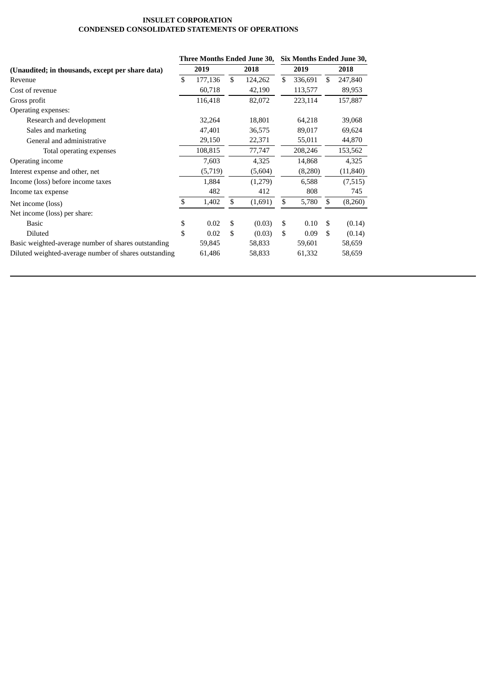#### **INSULET CORPORATION CONDENSED CONSOLIDATED STATEMENTS OF OPERATIONS**

|                                                       | Three Months Ended June 30, |         |    | Six Months Ended June 30, |      |         |      |           |
|-------------------------------------------------------|-----------------------------|---------|----|---------------------------|------|---------|------|-----------|
| (Unaudited; in thousands, except per share data)      |                             | 2019    |    | 2018                      | 2019 |         | 2018 |           |
| Revenue                                               | \$                          | 177,136 | \$ | 124,262                   | \$   | 336,691 | \$   | 247,840   |
| Cost of revenue                                       |                             | 60,718  |    | 42,190                    |      | 113,577 |      | 89,953    |
| Gross profit                                          |                             | 116,418 |    | 82,072                    |      | 223,114 |      | 157,887   |
| Operating expenses:                                   |                             |         |    |                           |      |         |      |           |
| Research and development                              |                             | 32,264  |    | 18,801                    |      | 64,218  |      | 39,068    |
| Sales and marketing                                   |                             | 47,401  |    | 36,575                    |      | 89,017  |      | 69,624    |
| General and administrative                            |                             | 29,150  |    | 22,371                    |      | 55,011  |      | 44,870    |
| Total operating expenses                              |                             | 108,815 |    | 77,747                    |      | 208,246 |      | 153,562   |
| Operating income                                      |                             | 7,603   |    | 4,325                     |      | 14,868  |      | 4,325     |
| Interest expense and other, net                       |                             | (5,719) |    | (5,604)                   |      | (8,280) |      | (11, 840) |
| Income (loss) before income taxes                     |                             | 1,884   |    | (1,279)                   |      | 6,588   |      | (7,515)   |
| Income tax expense                                    |                             | 482     |    | 412                       |      | 808     |      | 745       |
| Net income (loss)                                     | \$                          | 1,402   | \$ | (1,691)                   | \$   | 5,780   | \$   | (8,260)   |
| Net income (loss) per share:                          |                             |         |    |                           |      |         |      |           |
| Basic                                                 | \$                          | 0.02    | \$ | (0.03)                    | \$   | 0.10    | \$   | (0.14)    |
| <b>Diluted</b>                                        | \$                          | 0.02    | \$ | (0.03)                    | \$   | 0.09    | \$   | (0.14)    |
| Basic weighted-average number of shares outstanding   |                             | 59,845  |    | 58,833                    |      | 59,601  |      | 58,659    |
| Diluted weighted-average number of shares outstanding |                             | 61,486  |    | 58,833                    |      | 61,332  |      | 58,659    |